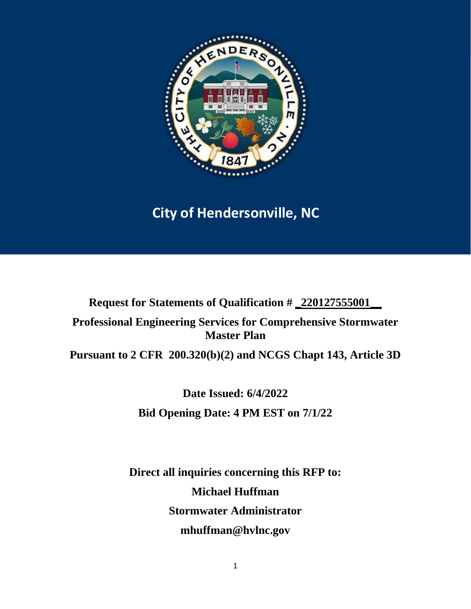

# **City of Hendersonville, NC**

**Request for Statements of Qualification # \_220127555001\_\_**

**Professional Engineering Services for Comprehensive Stormwater Master Plan**

**Pursuant to 2 CFR 200.320(b)(2) and NCGS Chapt 143, Article 3D**

**Date Issued: 6/4/2022 Bid Opening Date: 4 PM EST on 7/1/22** 

**Direct all inquiries concerning this RFP to: Michael Huffman Stormwater Administrator mhuffman@hvlnc.gov**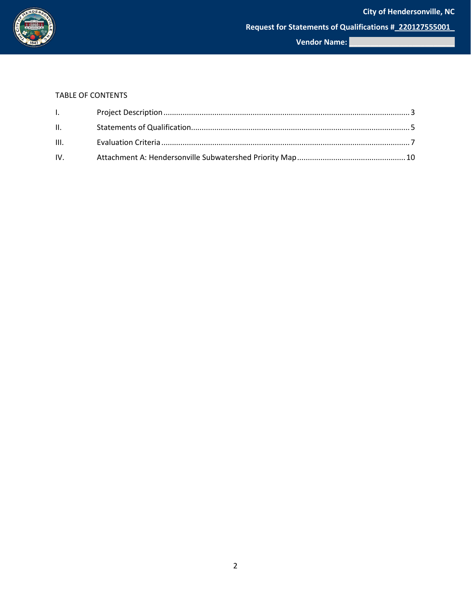

#### TABLE OF CONTENTS

| $\mathbf{L}$ and $\mathbf{L}$ |  |
|-------------------------------|--|
| $\mathbf{H}$ , $\mathbf{H}$   |  |
|                               |  |
|                               |  |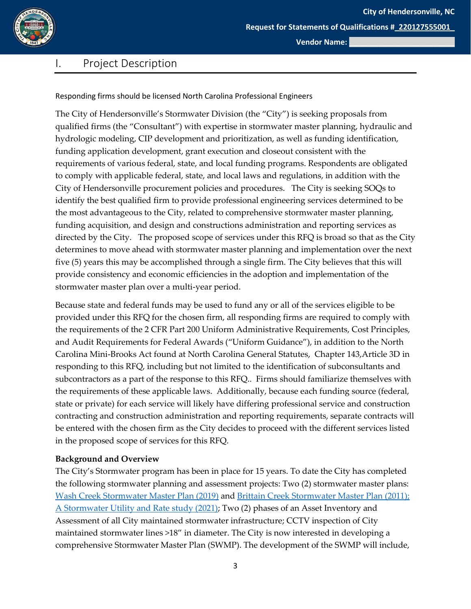

**Request for Statements of Qualifications #\_220127555001\_**

**Vendor Name: \_\_\_\_\_\_\_\_\_\_\_\_\_\_\_\_\_\_\_\_\_\_\_\_\_**

### <span id="page-2-0"></span>I. Project Description

Responding firms should be licensed North Carolina Professional Engineers

The City of Hendersonville's Stormwater Division (the "City") is seeking proposals from qualified firms (the "Consultant") with expertise in stormwater master planning, hydraulic and hydrologic modeling, CIP development and prioritization, as well as funding identification, funding application development, grant execution and closeout consistent with the requirements of various federal, state, and local funding programs. Respondents are obligated to comply with applicable federal, state, and local laws and regulations, in addition with the City of Hendersonville procurement policies and procedures. The City is seeking SOQs to identify the best qualified firm to provide professional engineering services determined to be the most advantageous to the City, related to comprehensive stormwater master planning, funding acquisition, and design and constructions administration and reporting services as directed by the City. The proposed scope of services under this RFQ is broad so that as the City determines to move ahead with stormwater master planning and implementation over the next five (5) years this may be accomplished through a single firm. The City believes that this will provide consistency and economic efficiencies in the adoption and implementation of the stormwater master plan over a multi-year period.

Because state and federal funds may be used to fund any or all of the services eligible to be provided under this RFQ for the chosen firm, all responding firms are required to comply with the requirements of the 2 CFR Part 200 Uniform Administrative Requirements, Cost Principles, and Audit Requirements for Federal Awards ("Uniform Guidance"), in addition to the North Carolina Mini-Brooks Act found at North Carolina General Statutes, Chapter 143,Article 3D in responding to this RFQ, including but not limited to the identification of subconsultants and subcontractors as a part of the response to this RFQ.. Firms should familiarize themselves with the requirements of these applicable laws. Additionally, because each funding source (federal, state or private) for each service will likely have differing professional service and construction contracting and construction administration and reporting requirements, separate contracts will be entered with the chosen firm as the City decides to proceed with the different services listed in the proposed scope of services for this RFQ.

#### **Background and Overview**

The City's Stormwater program has been in place for 15 years. To date the City has completed the following stormwater planning and assessment projects: Two (2) stormwater master plans: [Wash Creek Stormwater Master Plan \(2019\)](https://www.hendersonvillenc.gov/sites/default/files/uploads/stormwater-materials/final_wash_creek_stormwater_master_plan_20190517.pdf) and [Brittain Creek Stormwater Master Plan \(2011\);](https://www.hendersonvillenc.gov/sites/default/files/uploads/stormwater-materials/britton_creek_stormwater_masterplan_final.pdf) [A Stormwater Utility and Rate study \(2021\);](https://www.hendersonvillenc.gov/sites/default/files/uploads/stormwater-materials/hendersonville_stormwater_enterprise_fund_fee_study_final.pdf) Two (2) phases of an Asset Inventory and Assessment of all City maintained stormwater infrastructure; CCTV inspection of City maintained stormwater lines >18" in diameter. The City is now interested in developing a comprehensive Stormwater Master Plan (SWMP). The development of the SWMP will include,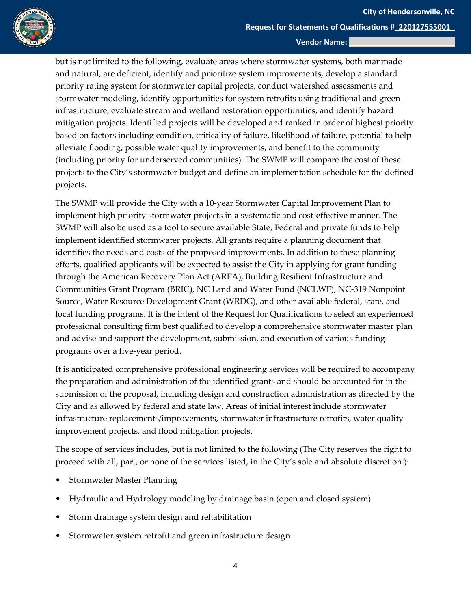

but is not limited to the following, evaluate areas where stormwater systems, both manmade and natural, are deficient, identify and prioritize system improvements, develop a standard priority rating system for stormwater capital projects, conduct watershed assessments and stormwater modeling, identify opportunities for system retrofits using traditional and green infrastructure, evaluate stream and wetland restoration opportunities, and identify hazard mitigation projects. Identified projects will be developed and ranked in order of highest priority based on factors including condition, criticality of failure, likelihood of failure, potential to help alleviate flooding, possible water quality improvements, and benefit to the community (including priority for underserved communities). The SWMP will compare the cost of these projects to the City's stormwater budget and define an implementation schedule for the defined projects.

The SWMP will provide the City with a 10-year Stormwater Capital Improvement Plan to implement high priority stormwater projects in a systematic and cost-effective manner. The SWMP will also be used as a tool to secure available State, Federal and private funds to help implement identified stormwater projects. All grants require a planning document that identifies the needs and costs of the proposed improvements. In addition to these planning efforts, qualified applicants will be expected to assist the City in applying for grant funding through the American Recovery Plan Act (ARPA), Building Resilient Infrastructure and Communities Grant Program (BRIC), NC Land and Water Fund (NCLWF), NC-319 Nonpoint Source, Water Resource Development Grant (WRDG), and other available federal, state, and local funding programs. It is the intent of the Request for Qualifications to select an experienced professional consulting firm best qualified to develop a comprehensive stormwater master plan and advise and support the development, submission, and execution of various funding programs over a five-year period.

It is anticipated comprehensive professional engineering services will be required to accompany the preparation and administration of the identified grants and should be accounted for in the submission of the proposal, including design and construction administration as directed by the City and as allowed by federal and state law. Areas of initial interest include stormwater infrastructure replacements/improvements, stormwater infrastructure retrofits, water quality improvement projects, and flood mitigation projects.

The scope of services includes, but is not limited to the following (The City reserves the right to proceed with all, part, or none of the services listed, in the City's sole and absolute discretion.):

- Stormwater Master Planning
- Hydraulic and Hydrology modeling by drainage basin (open and closed system)
- Storm drainage system design and rehabilitation
- Stormwater system retrofit and green infrastructure design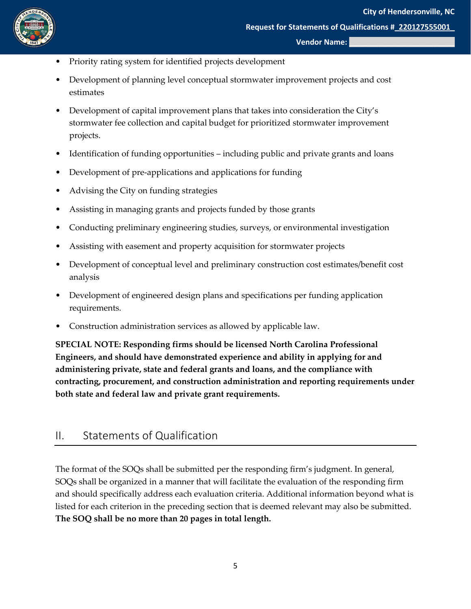

- Priority rating system for identified projects development
- Development of planning level conceptual stormwater improvement projects and cost estimates
- Development of capital improvement plans that takes into consideration the City's stormwater fee collection and capital budget for prioritized stormwater improvement projects.
- Identification of funding opportunities including public and private grants and loans
- Development of pre-applications and applications for funding
- Advising the City on funding strategies
- Assisting in managing grants and projects funded by those grants
- Conducting preliminary engineering studies, surveys, or environmental investigation
- Assisting with easement and property acquisition for stormwater projects
- Development of conceptual level and preliminary construction cost estimates/benefit cost analysis
- Development of engineered design plans and specifications per funding application requirements.
- Construction administration services as allowed by applicable law.

**SPECIAL NOTE: Responding firms should be licensed North Carolina Professional Engineers, and should have demonstrated experience and ability in applying for and administering private, state and federal grants and loans, and the compliance with contracting, procurement, and construction administration and reporting requirements under both state and federal law and private grant requirements.**

### <span id="page-4-0"></span>II. Statements of Qualification

The format of the SOQs shall be submitted per the responding firm's judgment. In general, SOQs shall be organized in a manner that will facilitate the evaluation of the responding firm and should specifically address each evaluation criteria. Additional information beyond what is listed for each criterion in the preceding section that is deemed relevant may also be submitted. **The SOQ shall be no more than 20 pages in total length.**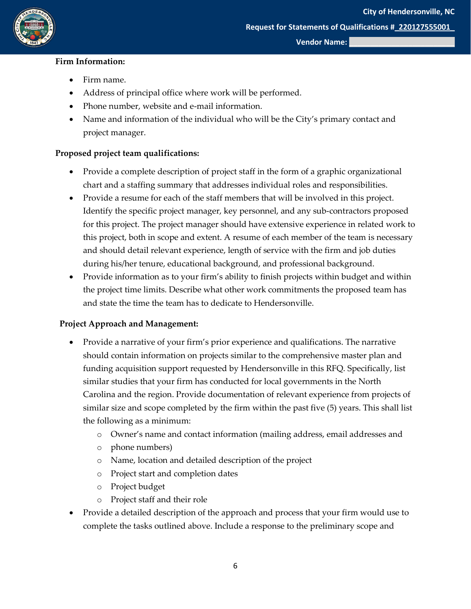

#### **Firm Information:**

- Firm name.
- Address of principal office where work will be performed.
- Phone number, website and e-mail information.
- Name and information of the individual who will be the City's primary contact and project manager.

#### **Proposed project team qualifications:**

- Provide a complete description of project staff in the form of a graphic organizational chart and a staffing summary that addresses individual roles and responsibilities.
- Provide a resume for each of the staff members that will be involved in this project. Identify the specific project manager, key personnel, and any sub-contractors proposed for this project. The project manager should have extensive experience in related work to this project, both in scope and extent. A resume of each member of the team is necessary and should detail relevant experience, length of service with the firm and job duties during his/her tenure, educational background, and professional background.
- Provide information as to your firm's ability to finish projects within budget and within the project time limits. Describe what other work commitments the proposed team has and state the time the team has to dedicate to Hendersonville.

#### **Project Approach and Management:**

- Provide a narrative of your firm's prior experience and qualifications. The narrative should contain information on projects similar to the comprehensive master plan and funding acquisition support requested by Hendersonville in this RFQ. Specifically, list similar studies that your firm has conducted for local governments in the North Carolina and the region. Provide documentation of relevant experience from projects of similar size and scope completed by the firm within the past five (5) years. This shall list the following as a minimum:
	- o Owner's name and contact information (mailing address, email addresses and
	- o phone numbers)
	- o Name, location and detailed description of the project
	- o Project start and completion dates
	- o Project budget
	- o Project staff and their role
- Provide a detailed description of the approach and process that your firm would use to complete the tasks outlined above. Include a response to the preliminary scope and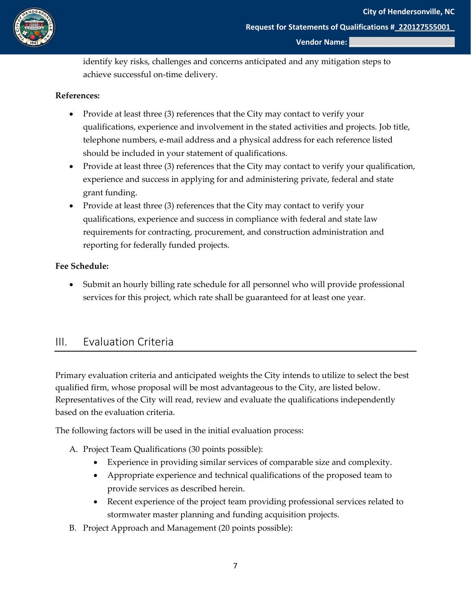

identify key risks, challenges and concerns anticipated and any mitigation steps to achieve successful on-time delivery.

#### **References:**

- Provide at least three (3) references that the City may contact to verify your qualifications, experience and involvement in the stated activities and projects. Job title, telephone numbers, e-mail address and a physical address for each reference listed should be included in your statement of qualifications.
- Provide at least three (3) references that the City may contact to verify your qualification, experience and success in applying for and administering private, federal and state grant funding.
- Provide at least three (3) references that the City may contact to verify your qualifications, experience and success in compliance with federal and state law requirements for contracting, procurement, and construction administration and reporting for federally funded projects.

#### **Fee Schedule:**

• Submit an hourly billing rate schedule for all personnel who will provide professional services for this project, which rate shall be guaranteed for at least one year.

### <span id="page-6-0"></span>III. Evaluation Criteria

Primary evaluation criteria and anticipated weights the City intends to utilize to select the best qualified firm, whose proposal will be most advantageous to the City, are listed below. Representatives of the City will read, review and evaluate the qualifications independently based on the evaluation criteria.

The following factors will be used in the initial evaluation process:

- A. Project Team Qualifications (30 points possible):
	- Experience in providing similar services of comparable size and complexity.
	- Appropriate experience and technical qualifications of the proposed team to provide services as described herein.
	- Recent experience of the project team providing professional services related to stormwater master planning and funding acquisition projects.
- B. Project Approach and Management (20 points possible):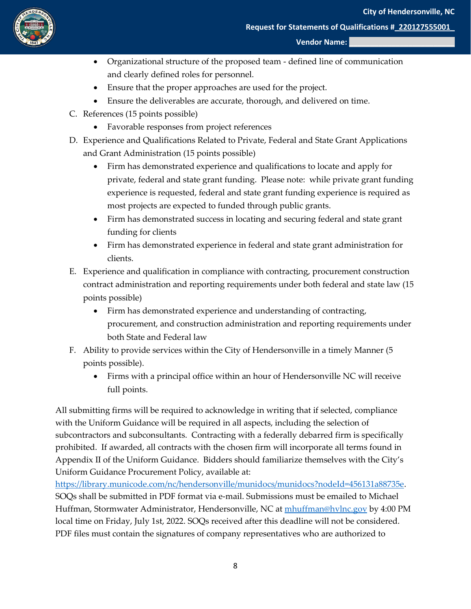

#### **Vendor Name:**

- Organizational structure of the proposed team defined line of communication and clearly defined roles for personnel.
- Ensure that the proper approaches are used for the project.
- Ensure the deliverables are accurate, thorough, and delivered on time.
- C. References (15 points possible)
	- Favorable responses from project references
- D. Experience and Qualifications Related to Private, Federal and State Grant Applications and Grant Administration (15 points possible)
	- Firm has demonstrated experience and qualifications to locate and apply for private, federal and state grant funding. Please note: while private grant funding experience is requested, federal and state grant funding experience is required as most projects are expected to funded through public grants.
	- Firm has demonstrated success in locating and securing federal and state grant funding for clients
	- Firm has demonstrated experience in federal and state grant administration for clients.
- E. Experience and qualification in compliance with contracting, procurement construction contract administration and reporting requirements under both federal and state law (15 points possible)
	- Firm has demonstrated experience and understanding of contracting, procurement, and construction administration and reporting requirements under both State and Federal law
- F. Ability to provide services within the City of Hendersonville in a timely Manner (5 points possible).
	- Firms with a principal office within an hour of Hendersonville NC will receive full points.

All submitting firms will be required to acknowledge in writing that if selected, compliance with the Uniform Guidance will be required in all aspects, including the selection of subcontractors and subconsultants. Contracting with a federally debarred firm is specifically prohibited. If awarded, all contracts with the chosen firm will incorporate all terms found in Appendix II of the Uniform Guidance. Bidders should familiarize themselves with the City's Uniform Guidance Procurement Policy, available at:

[https://library.municode.com/nc/hendersonville/munidocs/munidocs?nodeId=456131a88735e.](https://library.municode.com/nc/hendersonville/munidocs/munidocs?nodeId=456131a88735e) SOQs shall be submitted in PDF format via e-mail. Submissions must be emailed to Michael Huffman, Stormwater Administrator, Hendersonville, NC at [mhuffman@hvlnc.gov](mailto:mhuffman@hvlnc.gov) by 4:00 PM local time on Friday, July 1st, 2022. SOQs received after this deadline will not be considered. PDF files must contain the signatures of company representatives who are authorized to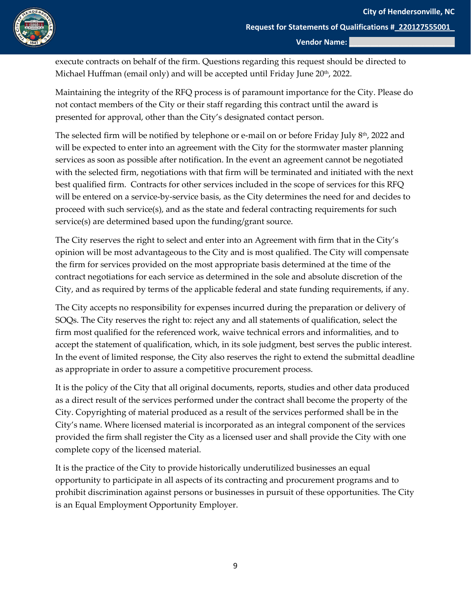

execute contracts on behalf of the firm. Questions regarding this request should be directed to Michael Huffman (email only) and will be accepted until Friday June 20<sup>th</sup>, 2022.

Maintaining the integrity of the RFQ process is of paramount importance for the City. Please do not contact members of the City or their staff regarding this contract until the award is presented for approval, other than the City's designated contact person.

The selected firm will be notified by telephone or e-mail on or before Friday July  $8<sup>th</sup>$ , 2022 and will be expected to enter into an agreement with the City for the stormwater master planning services as soon as possible after notification. In the event an agreement cannot be negotiated with the selected firm, negotiations with that firm will be terminated and initiated with the next best qualified firm. Contracts for other services included in the scope of services for this RFQ will be entered on a service-by-service basis, as the City determines the need for and decides to proceed with such service(s), and as the state and federal contracting requirements for such service(s) are determined based upon the funding/grant source.

The City reserves the right to select and enter into an Agreement with firm that in the City's opinion will be most advantageous to the City and is most qualified. The City will compensate the firm for services provided on the most appropriate basis determined at the time of the contract negotiations for each service as determined in the sole and absolute discretion of the City, and as required by terms of the applicable federal and state funding requirements, if any.

The City accepts no responsibility for expenses incurred during the preparation or delivery of SOQs. The City reserves the right to: reject any and all statements of qualification, select the firm most qualified for the referenced work, waive technical errors and informalities, and to accept the statement of qualification, which, in its sole judgment, best serves the public interest. In the event of limited response, the City also reserves the right to extend the submittal deadline as appropriate in order to assure a competitive procurement process.

It is the policy of the City that all original documents, reports, studies and other data produced as a direct result of the services performed under the contract shall become the property of the City. Copyrighting of material produced as a result of the services performed shall be in the City's name. Where licensed material is incorporated as an integral component of the services provided the firm shall register the City as a licensed user and shall provide the City with one complete copy of the licensed material.

It is the practice of the City to provide historically underutilized businesses an equal opportunity to participate in all aspects of its contracting and procurement programs and to prohibit discrimination against persons or businesses in pursuit of these opportunities. The City is an Equal Employment Opportunity Employer.